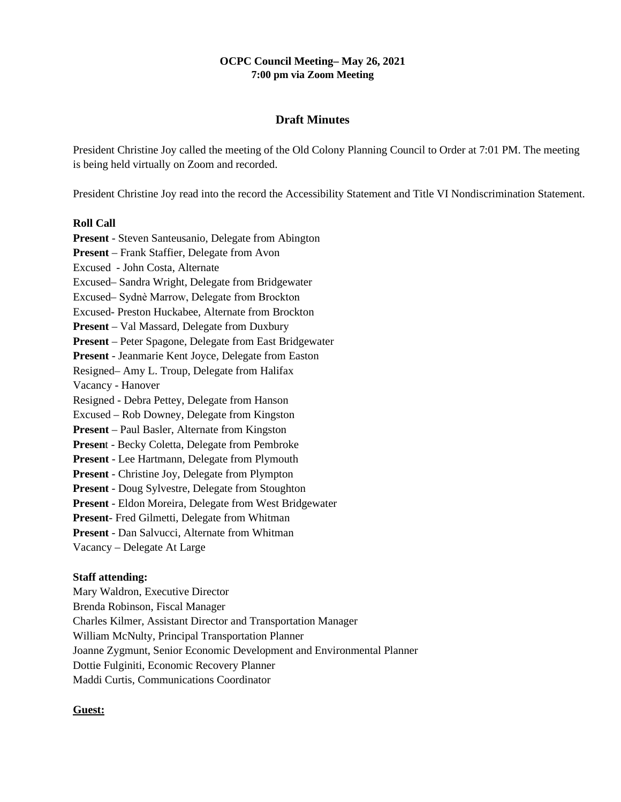## **OCPC Council Meeting– May 26, 2021 7:00 pm via Zoom Meeting**

# **Draft Minutes**

President Christine Joy called the meeting of the Old Colony Planning Council to Order at 7:01 PM. The meeting is being held virtually on Zoom and recorded.

President Christine Joy read into the record the Accessibility Statement and Title VI Nondiscrimination Statement.

## **Roll Call**

**Present** - Steven Santeusanio, Delegate from Abington **Present** – Frank Staffier, Delegate from Avon Excused - John Costa, Alternate Excused– Sandra Wright, Delegate from Bridgewater Excused– Sydnѐ Marrow, Delegate from Brockton Excused- Preston Huckabee, Alternate from Brockton **Present** – Val Massard, Delegate from Duxbury **Present** – Peter Spagone, Delegate from East Bridgewater **Present** - Jeanmarie Kent Joyce, Delegate from Easton Resigned– Amy L. Troup, Delegate from Halifax Vacancy - Hanover Resigned - Debra Pettey, Delegate from Hanson Excused – Rob Downey, Delegate from Kingston **Present** – Paul Basler, Alternate from Kingston **Presen**t - Becky Coletta, Delegate from Pembroke **Present** - Lee Hartmann, Delegate from Plymouth **Present** - Christine Joy, Delegate from Plympton **Present** - Doug Sylvestre, Delegate from Stoughton **Present** - Eldon Moreira, Delegate from West Bridgewater **Present**- Fred Gilmetti, Delegate from Whitman **Present** - Dan Salvucci, Alternate from Whitman Vacancy – Delegate At Large

## **Staff attending:**

Mary Waldron, Executive Director Brenda Robinson, Fiscal Manager Charles Kilmer, Assistant Director and Transportation Manager William McNulty, Principal Transportation Planner Joanne Zygmunt, Senior Economic Development and Environmental Planner Dottie Fulginiti, Economic Recovery Planner Maddi Curtis, Communications Coordinator

## **Guest:**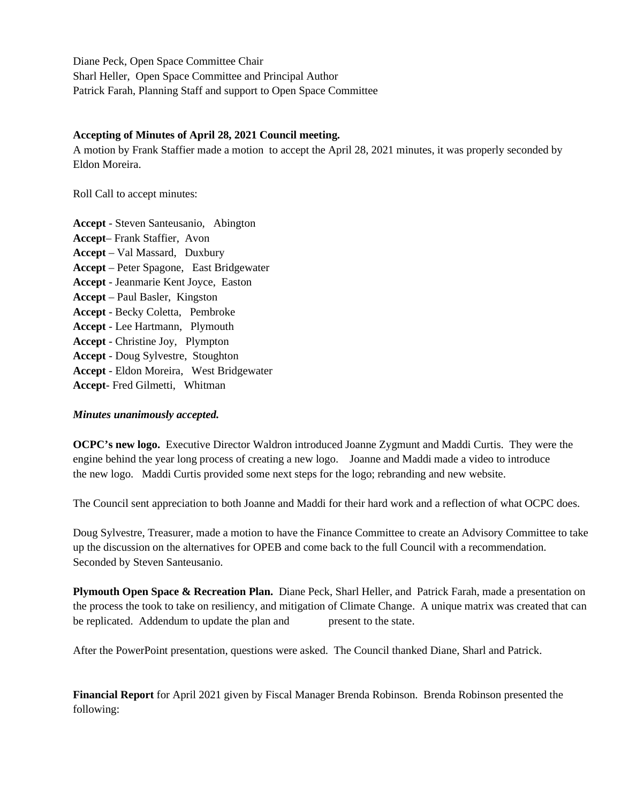Diane Peck, Open Space Committee Chair Sharl Heller, Open Space Committee and Principal Author Patrick Farah, Planning Staff and support to Open Space Committee

#### **Accepting of Minutes of April 28, 2021 Council meeting.**

A motion by Frank Staffier made a motion to accept the April 28, 2021 minutes, it was properly seconded by Eldon Moreira.

Roll Call to accept minutes:

**Accept** - Steven Santeusanio, Abington **Accept**– Frank Staffier, Avon **Accept** – Val Massard, Duxbury **Accept** – Peter Spagone, East Bridgewater **Accept** - Jeanmarie Kent Joyce, Easton **Accept** – Paul Basler, Kingston **Accept** - Becky Coletta, Pembroke **Accept** - Lee Hartmann, Plymouth **Accept** - Christine Joy, Plympton **Accept** - Doug Sylvestre, Stoughton **Accept** - Eldon Moreira, West Bridgewater **Accept**- Fred Gilmetti, Whitman

## *Minutes unanimously accepted.*

**OCPC's new logo.** Executive Director Waldron introduced Joanne Zygmunt and Maddi Curtis. They were the engine behind the year long process of creating a new logo. Joanne and Maddi made a video to introduce the new logo. Maddi Curtis provided some next steps for the logo; rebranding and new website.

The Council sent appreciation to both Joanne and Maddi for their hard work and a reflection of what OCPC does.

Doug Sylvestre, Treasurer, made a motion to have the Finance Committee to create an Advisory Committee to take up the discussion on the alternatives for OPEB and come back to the full Council with a recommendation. Seconded by Steven Santeusanio.

**Plymouth Open Space & Recreation Plan.** Diane Peck, Sharl Heller, and Patrick Farah, made a presentation on the process the took to take on resiliency, and mitigation of Climate Change. A unique matrix was created that can be replicated. Addendum to update the plan and present to the state.

After the PowerPoint presentation, questions were asked. The Council thanked Diane, Sharl and Patrick.

**Financial Report** for April 2021 given by Fiscal Manager Brenda Robinson. Brenda Robinson presented the following: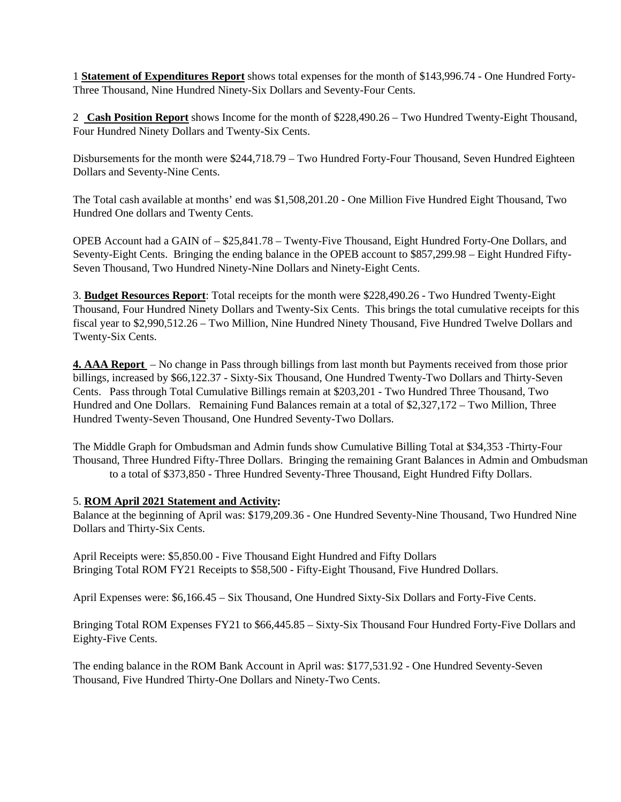1 **Statement of Expenditures Report** shows total expenses for the month of \$143,996.74 - One Hundred Forty-Three Thousand, Nine Hundred Ninety-Six Dollars and Seventy-Four Cents.

2 **Cash Position Report** shows Income for the month of \$228,490.26 – Two Hundred Twenty-Eight Thousand, Four Hundred Ninety Dollars and Twenty-Six Cents.

Disbursements for the month were \$244,718.79 – Two Hundred Forty-Four Thousand, Seven Hundred Eighteen Dollars and Seventy-Nine Cents.

The Total cash available at months' end was \$1,508,201.20 - One Million Five Hundred Eight Thousand, Two Hundred One dollars and Twenty Cents.

OPEB Account had a GAIN of – \$25,841.78 – Twenty-Five Thousand, Eight Hundred Forty-One Dollars, and Seventy-Eight Cents. Bringing the ending balance in the OPEB account to \$857,299.98 – Eight Hundred Fifty-Seven Thousand, Two Hundred Ninety-Nine Dollars and Ninety-Eight Cents.

3. **Budget Resources Report**: Total receipts for the month were \$228,490.26 - Two Hundred Twenty-Eight Thousand, Four Hundred Ninety Dollars and Twenty-Six Cents. This brings the total cumulative receipts for this fiscal year to \$2,990,512.26 – Two Million, Nine Hundred Ninety Thousand, Five Hundred Twelve Dollars and Twenty-Six Cents.

**4. AAA Report** – No change in Pass through billings from last month but Payments received from those prior billings, increased by \$66,122.37 - Sixty-Six Thousand, One Hundred Twenty-Two Dollars and Thirty-Seven Cents. Pass through Total Cumulative Billings remain at \$203,201 - Two Hundred Three Thousand, Two Hundred and One Dollars. Remaining Fund Balances remain at a total of \$2,327,172 – Two Million, Three Hundred Twenty-Seven Thousand, One Hundred Seventy-Two Dollars.

The Middle Graph for Ombudsman and Admin funds show Cumulative Billing Total at \$34,353 -Thirty-Four Thousand, Three Hundred Fifty-Three Dollars. Bringing the remaining Grant Balances in Admin and Ombudsman to a total of \$373,850 - Three Hundred Seventy-Three Thousand, Eight Hundred Fifty Dollars.

## 5. **ROM April 2021 Statement and Activity:**

Balance at the beginning of April was: \$179,209.36 - One Hundred Seventy-Nine Thousand, Two Hundred Nine Dollars and Thirty-Six Cents.

April Receipts were: \$5,850.00 - Five Thousand Eight Hundred and Fifty Dollars Bringing Total ROM FY21 Receipts to \$58,500 - Fifty-Eight Thousand, Five Hundred Dollars.

April Expenses were: \$6,166.45 – Six Thousand, One Hundred Sixty-Six Dollars and Forty-Five Cents.

Bringing Total ROM Expenses FY21 to \$66,445.85 – Sixty-Six Thousand Four Hundred Forty-Five Dollars and Eighty-Five Cents.

The ending balance in the ROM Bank Account in April was: \$177,531.92 - One Hundred Seventy-Seven Thousand, Five Hundred Thirty-One Dollars and Ninety-Two Cents.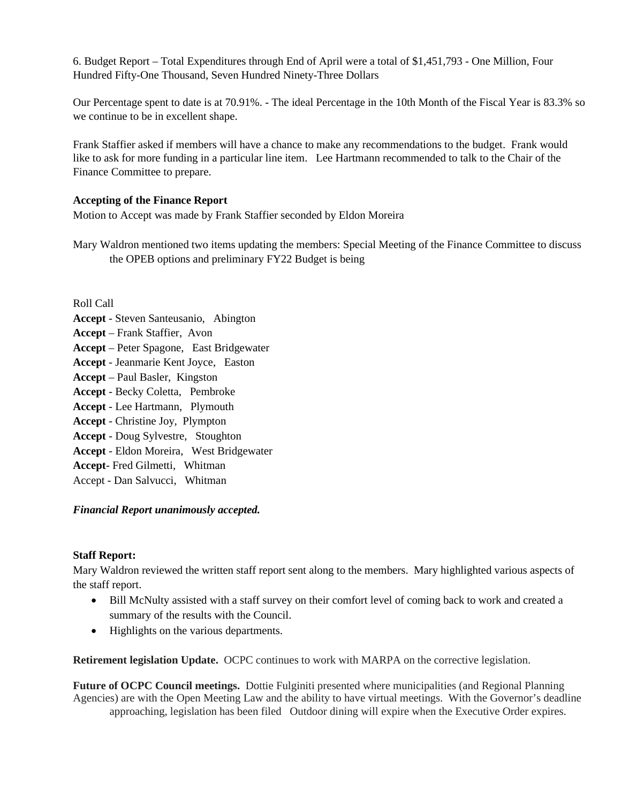6. Budget Report – Total Expenditures through End of April were a total of \$1,451,793 - One Million, Four Hundred Fifty-One Thousand, Seven Hundred Ninety-Three Dollars

Our Percentage spent to date is at 70.91%. - The ideal Percentage in the 10th Month of the Fiscal Year is 83.3% so we continue to be in excellent shape.

Frank Staffier asked if members will have a chance to make any recommendations to the budget. Frank would like to ask for more funding in a particular line item. Lee Hartmann recommended to talk to the Chair of the Finance Committee to prepare.

# **Accepting of the Finance Report**

Motion to Accept was made by Frank Staffier seconded by Eldon Moreira

Mary Waldron mentioned two items updating the members: Special Meeting of the Finance Committee to discuss the OPEB options and preliminary FY22 Budget is being

Roll Call **Accept** - Steven Santeusanio, Abington **Accept** – Frank Staffier, Avon **Accept** – Peter Spagone, East Bridgewater **Accept** - Jeanmarie Kent Joyce, Easton **Accept** – Paul Basler, Kingston **Accept** - Becky Coletta, Pembroke **Accept** - Lee Hartmann, Plymouth **Accept** - Christine Joy, Plympton **Accept** - Doug Sylvestre, Stoughton **Accept** - Eldon Moreira, West Bridgewater **Accept**- Fred Gilmetti, Whitman

Accept - Dan Salvucci, Whitman

# *Financial Report unanimously accepted.*

## **Staff Report:**

Mary Waldron reviewed the written staff report sent along to the members. Mary highlighted various aspects of the staff report.

- Bill McNulty assisted with a staff survey on their comfort level of coming back to work and created a summary of the results with the Council.
- Highlights on the various departments.

**Retirement legislation Update.** OCPC continues to work with MARPA on the corrective legislation.

**Future of OCPC Council meetings.** Dottie Fulginiti presented where municipalities (and Regional Planning Agencies) are with the Open Meeting Law and the ability to have virtual meetings. With the Governor's deadline approaching, legislation has been filed Outdoor dining will expire when the Executive Order expires.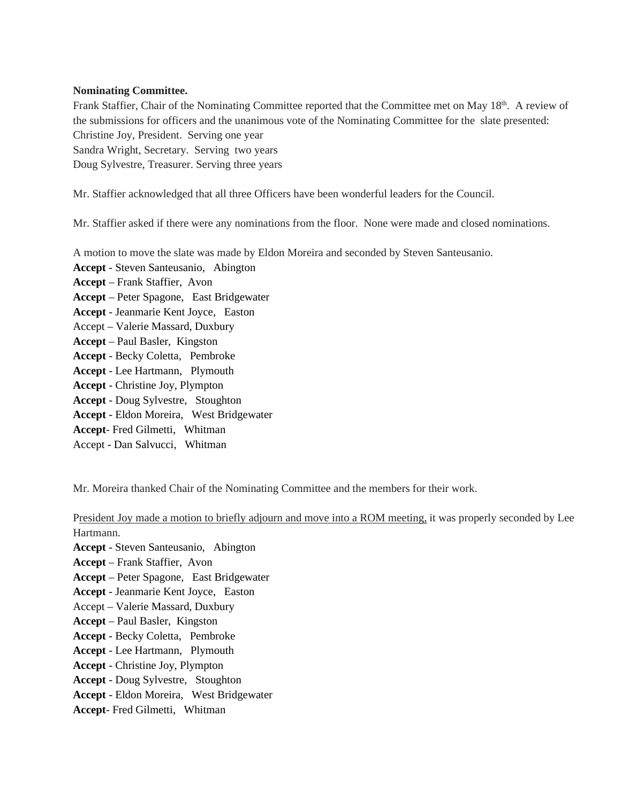## **Nominating Committee.**

Frank Staffier, Chair of the Nominating Committee reported that the Committee met on May 18<sup>th</sup>. A review of the submissions for officers and the unanimous vote of the Nominating Committee for the slate presented: Christine Joy, President. Serving one year Sandra Wright, Secretary. Serving two years Doug Sylvestre, Treasurer. Serving three years

Mr. Staffier acknowledged that all three Officers have been wonderful leaders for the Council.

Mr. Staffier asked if there were any nominations from the floor. None were made and closed nominations.

A motion to move the slate was made by Eldon Moreira and seconded by Steven Santeusanio.

**Accept** - Steven Santeusanio, Abington **Accept** – Frank Staffier, Avon **Accept** – Peter Spagone, East Bridgewater **Accept** - Jeanmarie Kent Joyce, Easton Accept – Valerie Massard, Duxbury **Accept** – Paul Basler, Kingston **Accept** - Becky Coletta, Pembroke **Accept** - Lee Hartmann, Plymouth **Accept** - Christine Joy, Plympton **Accept** - Doug Sylvestre, Stoughton **Accept** - Eldon Moreira, West Bridgewater **Accept**- Fred Gilmetti, Whitman

Accept - Dan Salvucci, Whitman

Mr. Moreira thanked Chair of the Nominating Committee and the members for their work.

President Joy made a motion to briefly adjourn and move into a ROM meeting, it was properly seconded by Lee Hartmann.

**Accept** - Steven Santeusanio, Abington

**Accept** – Frank Staffier, Avon

**Accept** – Peter Spagone, East Bridgewater

- **Accept** Jeanmarie Kent Joyce, Easton
- Accept Valerie Massard, Duxbury
- **Accept**  Paul Basler, Kingston
- **Accept** Becky Coletta, Pembroke
- **Accept** Lee Hartmann, Plymouth
- **Accept** Christine Joy, Plympton
- **Accept**  Doug Sylvestre, Stoughton
- **Accept**  Eldon Moreira, West Bridgewater
- **Accept** Fred Gilmetti, Whitman